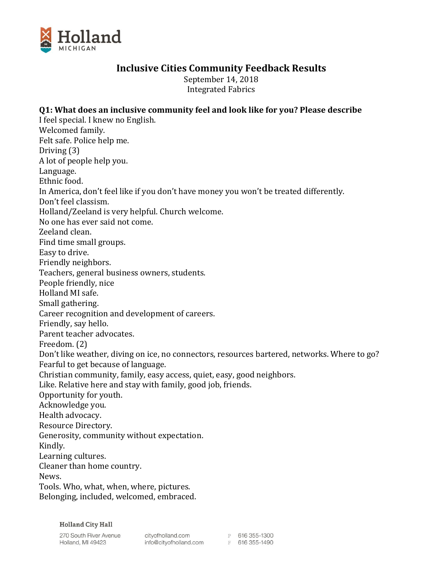

# **Inclusive Cities Community Feedback Results**

September 14, 2018 Integrated Fabrics

## **Q1: What does an inclusive community feel and look like for you? Please describe**

I feel special. I knew no English. Welcomed family. Felt safe. Police help me. Driving (3) A lot of people help you. Language. Ethnic food. In America, don't feel like if you don't have money you won't be treated differently. Don't feel classism. Holland/Zeeland is very helpful. Church welcome. No one has ever said not come. Zeeland clean. Find time small groups. Easy to drive. Friendly neighbors. Teachers, general business owners, students. People friendly, nice Holland MI safe. Small gathering. Career recognition and development of careers. Friendly, say hello. Parent teacher advocates. Freedom. (2) Don't like weather, diving on ice, no connectors, resources bartered, networks. Where to go? Fearful to get because of language. Christian community, family, easy access, quiet, easy, good neighbors. Like. Relative here and stay with family, good job, friends. Opportunity for youth. Acknowledge you. Health advocacy. Resource Directory. Generosity, community without expectation. Kindly. Learning cultures. Cleaner than home country. News. Tools. Who, what, when, where, pictures. Belonging, included, welcomed, embraced.

**Holland City Hall** 

270 South River Avenue Holland, MI 49423

cityofholland.com<br>info@cityofholland.com<br>F 616 355-1490